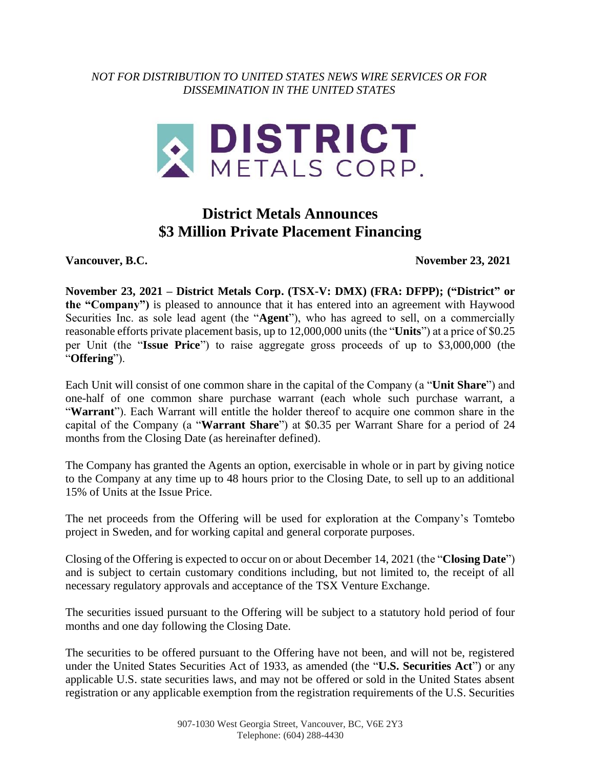*NOT FOR DISTRIBUTION TO UNITED STATES NEWS WIRE SERVICES OR FOR DISSEMINATION IN THE UNITED STATES*



## **District Metals Announces \$3 Million Private Placement Financing**

**Vancouver, B.C. November 23, 2021**

**November 23, 2021 – District Metals Corp. (TSX-V: DMX) (FRA: DFPP); ("District" or the "Company")** is pleased to announce that it has entered into an agreement with Haywood Securities Inc. as sole lead agent (the "**Agent**"), who has agreed to sell, on a commercially reasonable efforts private placement basis, up to 12,000,000 units (the "**Units**") at a price of \$0.25 per Unit (the "**Issue Price**") to raise aggregate gross proceeds of up to \$3,000,000 (the "**Offering**").

Each Unit will consist of one common share in the capital of the Company (a "**Unit Share**") and one-half of one common share purchase warrant (each whole such purchase warrant, a "**Warrant**"). Each Warrant will entitle the holder thereof to acquire one common share in the capital of the Company (a "**Warrant Share**") at \$0.35 per Warrant Share for a period of 24 months from the Closing Date (as hereinafter defined).

The Company has granted the Agents an option, exercisable in whole or in part by giving notice to the Company at any time up to 48 hours prior to the Closing Date, to sell up to an additional 15% of Units at the Issue Price.

The net proceeds from the Offering will be used for exploration at the Company's Tomtebo project in Sweden, and for working capital and general corporate purposes.

Closing of the Offering is expected to occur on or about December 14, 2021 (the "**Closing Date**") and is subject to certain customary conditions including, but not limited to, the receipt of all necessary regulatory approvals and acceptance of the TSX Venture Exchange.

The securities issued pursuant to the Offering will be subject to a statutory hold period of four months and one day following the Closing Date.

The securities to be offered pursuant to the Offering have not been, and will not be, registered under the United States Securities Act of 1933, as amended (the "**U.S. Securities Act**") or any applicable U.S. state securities laws, and may not be offered or sold in the United States absent registration or any applicable exemption from the registration requirements of the U.S. Securities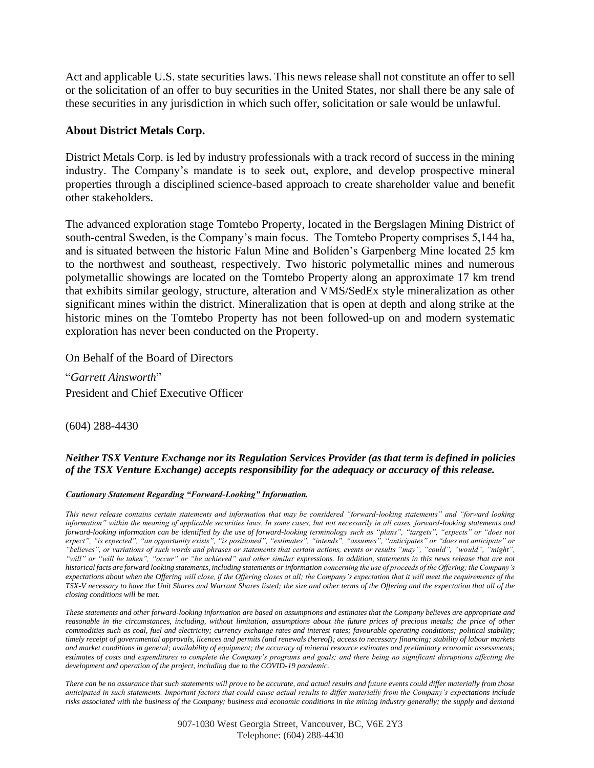Act and applicable U.S. state securities laws. This news release shall not constitute an offer to sell or the solicitation of an offer to buy securities in the United States, nor shall there be any sale of these securities in any jurisdiction in which such offer, solicitation or sale would be unlawful.

## **About District Metals Corp.**

District Metals Corp. is led by industry professionals with a track record of success in the mining industry. The Company's mandate is to seek out, explore, and develop prospective mineral properties through a disciplined science-based approach to create shareholder value and benefit other stakeholders.

The advanced exploration stage Tomtebo Property, located in the Bergslagen Mining District of south-central Sweden, is the Company's main focus. The Tomtebo Property comprises 5,144 ha, and is situated between the historic Falun Mine and Boliden's Garpenberg Mine located 25 km to the northwest and southeast, respectively. Two historic polymetallic mines and numerous polymetallic showings are located on the Tomtebo Property along an approximate 17 km trend that exhibits similar geology, structure, alteration and VMS/SedEx style mineralization as other significant mines within the district. Mineralization that is open at depth and along strike at the historic mines on the Tomtebo Property has not been followed-up on and modern systematic exploration has never been conducted on the Property.

On Behalf of the Board of Directors

"*Garrett Ainsworth*" President and Chief Executive Officer

(604) 288-4430

## *Neither TSX Venture Exchange nor its Regulation Services Provider (as that term is defined in policies of the TSX Venture Exchange) accepts responsibility for the adequacy or accuracy of this release.*

## *Cautionary Statement Regarding "Forward-Looking" Information.*

*This news release contains certain statements and information that may be considered "forward-looking statements" and "forward looking information" within the meaning of applicable securities laws. In some cases, but not necessarily in all cases, forward-looking statements and forward-looking information can be identified by the use of forward-looking terminology such as "plans", "targets", "expects" or "does not expect", "is expected", "an opportunity exists", "is positioned", "estimates", "intends", "assumes", "anticipates" or "does not anticipate" or "believes", or variations of such words and phrases or statements that certain actions, events or results "may", "could", "would", "might", "will" or "will be taken", "occur" or "be achieved" and other similar expressions. In addition, statements in this news release that are not historical facts are forward looking statements, including statements or information concerning the use of proceeds of the Offering; the Company's expectations about when the Offering will close, if the Offering closes at all; the Company's expectation that it will meet the requirements of the TSX-V necessary to have the Unit Shares and Warrant Shares listed; the size and other terms of the Offering and the expectation that all of the closing conditions will be met.*

*These statements and other forward-looking information are based on assumptions and estimates that the Company believes are appropriate and*  reasonable in the circumstances, including, without limitation, assumptions about the future prices of precious metals; the price of other *commodities such as coal, fuel and electricity; currency exchange rates and interest rates; favourable operating conditions; political stability; timely receipt of governmental approvals, licences and permits (and renewals thereof); access to necessary financing; stability of labour markets and market conditions in general; availability of equipment; the accuracy of mineral resource estimates and preliminary economic assessments; estimates of costs and expenditures to complete the Company's programs and goals; and there being no significant disruptions affecting the development and operation of the project, including due to the COVID-19 pandemic.*

*There can be no assurance that such statements will prove to be accurate, and actual results and future events could differ materially from those anticipated in such statements. Important factors that could cause actual results to differ materially from the Company's expectations include risks associated with the business of the Company; business and economic conditions in the mining industry generally; the supply and demand* 

> 907-1030 West Georgia Street, Vancouver, BC, V6E 2Y3 Telephone: (604) 288-4430